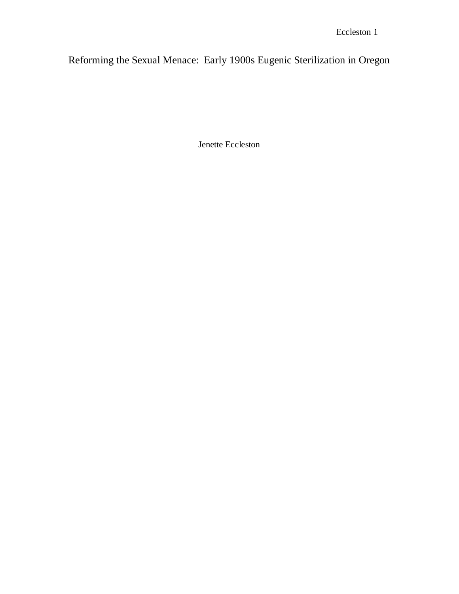Reforming the Sexual Menace: Early 1900s Eugenic Sterilization in Oregon

Jenette Eccleston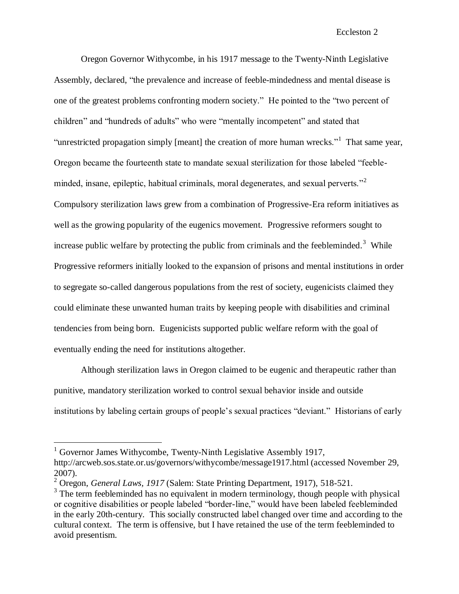Oregon Governor Withycombe, in his 1917 message to the Twenty-Ninth Legislative Assembly, declared, "the prevalence and increase of feeble-mindedness and mental disease is one of the greatest problems confronting modern society." He pointed to the "two percent of children" and "hundreds of adults" who were "mentally incompetent" and stated that "unrestricted propagation simply [meant] the creation of more human wrecks."<sup>1</sup> That same year, Oregon became the fourteenth state to mandate sexual sterilization for those labeled "feebleminded, insane, epileptic, habitual criminals, moral degenerates, and sexual perverts. $^{32}$ Compulsory sterilization laws grew from a combination of Progressive-Era reform initiatives as well as the growing popularity of the eugenics movement. Progressive reformers sought to increase public welfare by protecting the public from criminals and the feebleminded.<sup>3</sup> While Progressive reformers initially looked to the expansion of prisons and mental institutions in order to segregate so-called dangerous populations from the rest of society, eugenicists claimed they could eliminate these unwanted human traits by keeping people with disabilities and criminal tendencies from being born. Eugenicists supported public welfare reform with the goal of eventually ending the need for institutions altogether.

Although sterilization laws in Oregon claimed to be eugenic and therapeutic rather than punitive, mandatory sterilization worked to control sexual behavior inside and outside institutions by labeling certain groups of people"s sexual practices "deviant." Historians of early

 $1$  Governor James Withycombe, Twenty-Ninth Legislative Assembly 1917, http://arcweb.sos.state.or.us/governors/withycombe/message1917.html (accessed November 29, 2007).

<sup>2</sup> Oregon, *General Laws, 1917* (Salem: State Printing Department, 1917), 518-521.

<sup>&</sup>lt;sup>3</sup> The term feebleminded has no equivalent in modern terminology, though people with physical or cognitive disabilities or people labeled "border-line," would have been labeled feebleminded in the early 20th-century. This socially constructed label changed over time and according to the cultural context. The term is offensive, but I have retained the use of the term feebleminded to avoid presentism.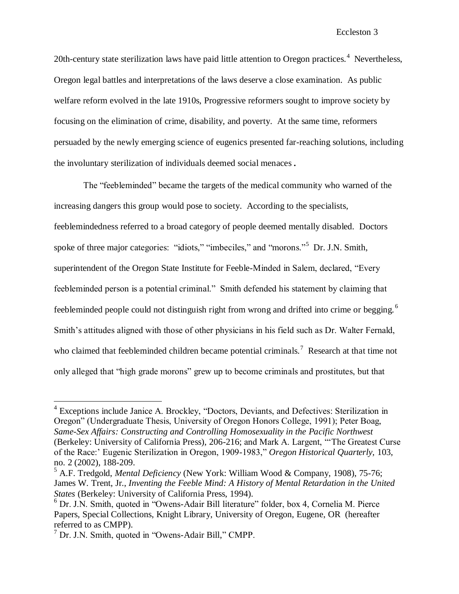20th-century state sterilization laws have paid little attention to Oregon practices.<sup>4</sup> Nevertheless, Oregon legal battles and interpretations of the laws deserve a close examination. As public welfare reform evolved in the late 1910s, Progressive reformers sought to improve society by focusing on the elimination of crime, disability, and poverty. At the same time, reformers persuaded by the newly emerging science of eugenics presented far-reaching solutions, including the involuntary sterilization of individuals deemed social menaces.

The "feebleminded" became the targets of the medical community who warned of the increasing dangers this group would pose to society. According to the specialists, feeblemindedness referred to a broad category of people deemed mentally disabled. Doctors spoke of three major categories: "idiots," "imbeciles," and "morons."<sup>5</sup> Dr. J.N. Smith, superintendent of the Oregon State Institute for Feeble-Minded in Salem, declared, "Every feebleminded person is a potential criminal." Smith defended his statement by claiming that feebleminded people could not distinguish right from wrong and drifted into crime or begging.<sup>6</sup> Smith's attitudes aligned with those of other physicians in his field such as Dr. Walter Fernald, who claimed that feebleminded children became potential criminals.<sup>7</sup> Research at that time not only alleged that "high grade morons" grew up to become criminals and prostitutes, but that

<sup>&</sup>lt;sup>4</sup> Exceptions include Janice A. Brockley, "Doctors, Deviants, and Defectives: Sterilization in Oregon" (Undergraduate Thesis, University of Oregon Honors College, 1991); Peter Boag, *Same-Sex Affairs: Constructing and Controlling Homosexuality in the Pacific Northwest* (Berkeley: University of California Press), 206-216; and Mark A. Largent, ""The Greatest Curse of the Race:" Eugenic Sterilization in Oregon, 1909-1983," *Oregon Historical Quarterly,* 103, no. 2 (2002), 188-209.

<sup>5</sup> A.F. Tredgold, *Mental Deficiency* (New York: William Wood & Company, 1908), 75-76; James W. Trent, Jr., *Inventing the Feeble Mind: A History of Mental Retardation in the United States* (Berkeley: University of California Press, 1994).

<sup>6</sup> Dr. J.N. Smith, quoted in "Owens-Adair Bill literature" folder, box 4, Cornelia M. Pierce Papers, Special Collections, Knight Library, University of Oregon, Eugene, OR (hereafter referred to as CMPP).

<sup>7</sup> Dr. J.N. Smith, quoted in "Owens-Adair Bill," CMPP.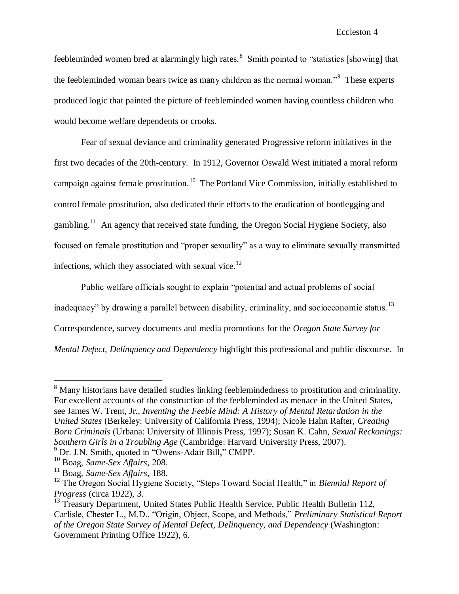feebleminded women bred at alarmingly high rates. $8 \text{ Smith pointed to "statistics [showing] that}$ the feebleminded woman bears twice as many children as the normal woman."<sup>9</sup> These experts produced logic that painted the picture of feebleminded women having countless children who would become welfare dependents or crooks.

Fear of sexual deviance and criminality generated Progressive reform initiatives in the first two decades of the 20th-century. In 1912, Governor Oswald West initiated a moral reform campaign against female prostitution.<sup>10</sup> The Portland Vice Commission, initially established to control female prostitution, also dedicated their efforts to the eradication of bootlegging and gambling.<sup>11</sup> An agency that received state funding, the Oregon Social Hygiene Society, also focused on female prostitution and "proper sexuality" as a way to eliminate sexually transmitted infections, which they associated with sexual vice. $^{12}$ 

Public welfare officials sought to explain "potential and actual problems of social inadequacy" by drawing a parallel between disability, criminality, and socioeconomic status.  $^{13}$ Correspondence, survey documents and media promotions for the *Oregon State Survey for Mental Defect, Delinquency and Dependency* highlight this professional and public discourse. In

<sup>&</sup>lt;sup>8</sup> Many historians have detailed studies linking feeblemindedness to prostitution and criminality. For excellent accounts of the construction of the feebleminded as menace in the United States, see James W. Trent, Jr., *Inventing the Feeble Mind: A History of Mental Retardation in the United States* (Berkeley: University of California Press, 1994); Nicole Hahn Rafter, *Creating Born Criminals* (Urbana: University of Illinois Press, 1997); Susan K. Cahn, *Sexual Reckonings: Southern Girls in a Troubling Age* (Cambridge: Harvard University Press, 2007).

<sup>&</sup>lt;sup>9</sup> Dr. J.N. Smith, quoted in "Owens-Adair Bill," CMPP.

<sup>10</sup> Boag, *Same-Sex Affairs*, 208.

<sup>11</sup> Boag, *Same-Sex Affairs,* 188.

<sup>&</sup>lt;sup>12</sup> The Oregon Social Hygiene Society, "Steps Toward Social Health," in *Biennial Report of Progress* (circa 1922), 3.

<sup>&</sup>lt;sup>13</sup> Treasury Department, United States Public Health Service, Public Health Bulletin 112, Carlisle, Chester L., M.D., "Origin, Object, Scope, and Methods," *Preliminary Statistical Report of the Oregon State Survey of Mental Defect, Delinquency, and Dependency* (Washington: Government Printing Office 1922), 6.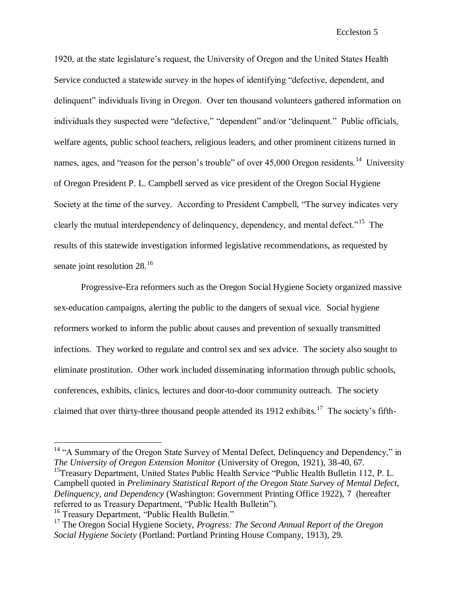1920, at the state legislature"s request, the University of Oregon and the United States Health Service conducted a statewide survey in the hopes of identifying "defective, dependent, and delinquent" individuals living in Oregon. Over ten thousand volunteers gathered information on individuals they suspected were "defective," "dependent" and/or "delinquent." Public officials, welfare agents, public school teachers, religious leaders, and other prominent citizens turned in names, ages, and "reason for the person's trouble" of over 45,000 Oregon residents.<sup>14</sup> University of Oregon President P. L. Campbell served as vice president of the Oregon Social Hygiene Society at the time of the survey. According to President Campbell, "The survey indicates very clearly the mutual interdependency of delinquency, dependency, and mental defect."<sup>15</sup> The results of this statewide investigation informed legislative recommendations, as requested by senate joint resolution 28.<sup>16</sup>

Progressive-Era reformers such as the Oregon Social Hygiene Society organized massive sex-education campaigns, alerting the public to the dangers of sexual vice. Social hygiene reformers worked to inform the public about causes and prevention of sexually transmitted infections. They worked to regulate and control sex and sex advice. The society also sought to eliminate prostitution. Other work included disseminating information through public schools, conferences, exhibits, clinics, lectures and door-to-door community outreach. The society claimed that over thirty-three thousand people attended its  $1912$  exhibits.<sup>17</sup> The society's fifth-

<sup>15</sup>Treasury Department, United States Public Health Service "Public Health Bulletin 112, P. L. Campbell quoted in *Preliminary Statistical Report of the Oregon State Survey of Mental Defect, Delinquency, and Dependency* (Washington: Government Printing Office 1922), 7 (hereafter referred to as Treasury Department, "Public Health Bulletin").

<sup>16</sup> Treasury Department, "Public Health Bulletin."

<sup>&</sup>lt;sup>14</sup> "A Summary of the Oregon State Survey of Mental Defect, Delinquency and Dependency," in *The University of Oregon Extension Monitor* (University of Oregon, 1921), 38-40, 67.

<sup>17</sup> The Oregon Social Hygiene Society, *Progress: The Second Annual Report of the Oregon Social Hygiene Society* (Portland: Portland Printing House Company, 1913), 29.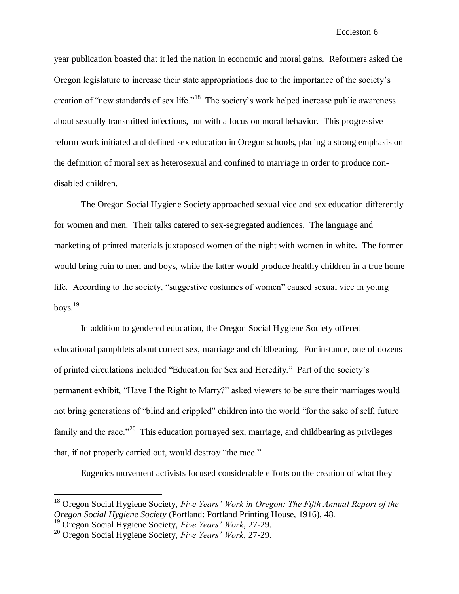year publication boasted that it led the nation in economic and moral gains. Reformers asked the Oregon legislature to increase their state appropriations due to the importance of the society"s creation of "new standards of sex life."<sup>18</sup> The society's work helped increase public awareness about sexually transmitted infections, but with a focus on moral behavior. This progressive reform work initiated and defined sex education in Oregon schools, placing a strong emphasis on the definition of moral sex as heterosexual and confined to marriage in order to produce nondisabled children.

The Oregon Social Hygiene Society approached sexual vice and sex education differently for women and men. Their talks catered to sex-segregated audiences. The language and marketing of printed materials juxtaposed women of the night with women in white. The former would bring ruin to men and boys, while the latter would produce healthy children in a true home life. According to the society, "suggestive costumes of women" caused sexual vice in young boys. $^{19}$ 

In addition to gendered education, the Oregon Social Hygiene Society offered educational pamphlets about correct sex, marriage and childbearing. For instance, one of dozens of printed circulations included "Education for Sex and Heredity." Part of the society"s permanent exhibit, "Have I the Right to Marry?" asked viewers to be sure their marriages would not bring generations of "blind and crippled" children into the world "for the sake of self, future family and the race."<sup>20</sup> This education portrayed sex, marriage, and childbearing as privileges that, if not properly carried out, would destroy "the race."

Eugenics movement activists focused considerable efforts on the creation of what they

<sup>18</sup> Oregon Social Hygiene Society, *Five Years' Work in Oregon: The Fifth Annual Report of the Oregon Social Hygiene Society* (Portland: Portland Printing House, 1916), 48.

<sup>19</sup> Oregon Social Hygiene Society, *Five Years' Work*, 27-29.

<sup>20</sup> Oregon Social Hygiene Society, *Five Years' Work*, 27-29.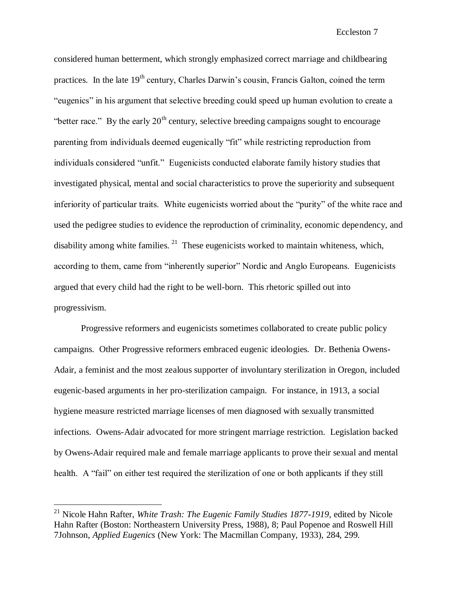considered human betterment, which strongly emphasized correct marriage and childbearing practices. In the late  $19<sup>th</sup>$  century, Charles Darwin's cousin, Francis Galton, coined the term "eugenics" in his argument that selective breeding could speed up human evolution to create a "better race." By the early  $20<sup>th</sup>$  century, selective breeding campaigns sought to encourage parenting from individuals deemed eugenically "fit" while restricting reproduction from individuals considered "unfit." Eugenicists conducted elaborate family history studies that investigated physical, mental and social characteristics to prove the superiority and subsequent inferiority of particular traits. White eugenicists worried about the "purity" of the white race and used the pedigree studies to evidence the reproduction of criminality, economic dependency, and disability among white families.  $2<sup>1</sup>$  These eugenicists worked to maintain whiteness, which, according to them, came from "inherently superior" Nordic and Anglo Europeans. Eugenicists argued that every child had the right to be well-born. This rhetoric spilled out into progressivism.

Progressive reformers and eugenicists sometimes collaborated to create public policy campaigns. Other Progressive reformers embraced eugenic ideologies. Dr. Bethenia Owens-Adair, a feminist and the most zealous supporter of involuntary sterilization in Oregon, included eugenic-based arguments in her pro-sterilization campaign. For instance, in 1913, a social hygiene measure restricted marriage licenses of men diagnosed with sexually transmitted infections. Owens-Adair advocated for more stringent marriage restriction. Legislation backed by Owens-Adair required male and female marriage applicants to prove their sexual and mental health. A "fail" on either test required the sterilization of one or both applicants if they still

<sup>21</sup> Nicole Hahn Rafter, *White Trash: The Eugenic Family Studies 1877-1919,* edited by Nicole Hahn Rafter (Boston: Northeastern University Press, 1988), 8; Paul Popenoe and Roswell Hill 7Johnson, *Applied Eugenics* (New York: The Macmillan Company, 1933), 284, 299.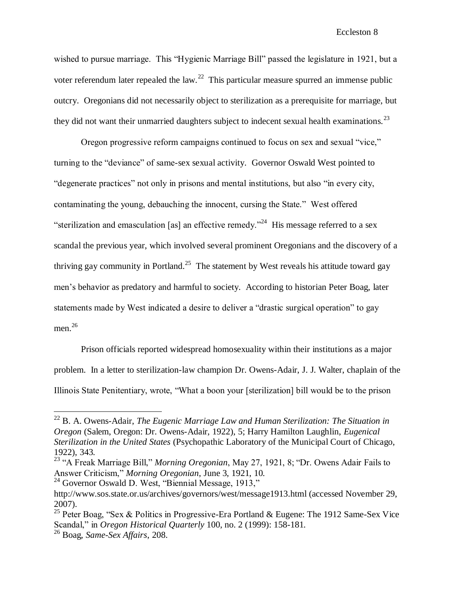wished to pursue marriage. This "Hygienic Marriage Bill" passed the legislature in 1921, but a voter referendum later repealed the law.<sup>22</sup> This particular measure spurred an immense public outcry. Oregonians did not necessarily object to sterilization as a prerequisite for marriage, but they did not want their unmarried daughters subject to indecent sexual health examinations.<sup>23</sup>

Oregon progressive reform campaigns continued to focus on sex and sexual "vice," turning to the "deviance" of same-sex sexual activity. Governor Oswald West pointed to "degenerate practices" not only in prisons and mental institutions, but also "in every city, contaminating the young, debauching the innocent, cursing the State." West offered "sterilization and emasculation [as] an effective remedy."<sup>24</sup> His message referred to a sex scandal the previous year, which involved several prominent Oregonians and the discovery of a thriving gay community in Portland.<sup>25</sup> The statement by West reveals his attitude toward gay men"s behavior as predatory and harmful to society. According to historian Peter Boag, later statements made by West indicated a desire to deliver a "drastic surgical operation" to gay men. 26

Prison officials reported widespread homosexuality within their institutions as a major problem. In a letter to sterilization-law champion Dr. Owens-Adair, J. J. Walter, chaplain of the Illinois State Penitentiary, wrote, "What a boon your [sterilization] bill would be to the prison

<sup>24</sup> Governor Oswald D. West, "Biennial Message, 1913,"

<sup>22</sup> B. A. Owens-Adair, *The Eugenic Marriage Law and Human Sterilization: The Situation in Oregon* (Salem, Oregon: Dr. Owens-Adair, 1922), 5; Harry Hamilton Laughlin, *Eugenical Sterilization in the United States* (Psychopathic Laboratory of the Municipal Court of Chicago, 1922), 343.

<sup>23</sup> "A Freak Marriage Bill," *Morning Oregonian*, May 27, 1921, 8; "Dr. Owens Adair Fails to Answer Criticism," *Morning Oregonian*, June 3, 1921, 10.

http://www.sos.state.or.us/archives/governors/west/message1913.html (accessed November 29, 2007).

<sup>&</sup>lt;sup>25</sup> Peter Boag, "Sex & Politics in Progressive-Era Portland & Eugene: The 1912 Same-Sex Vice Scandal," in *Oregon Historical Quarterly* 100, no. 2 (1999): 158-181.

<sup>26</sup> Boag, *Same-Sex Affairs*, 208.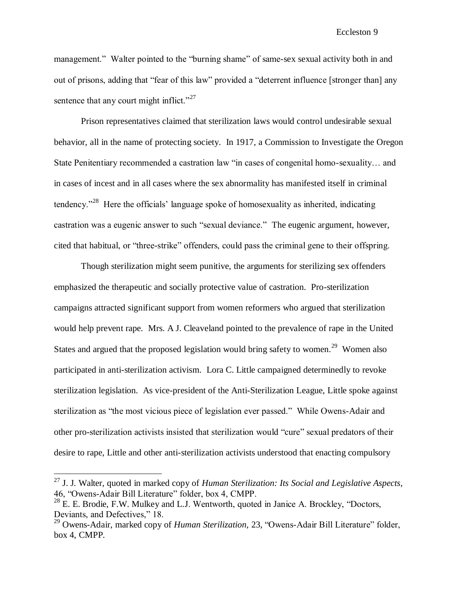management." Walter pointed to the "burning shame" of same-sex sexual activity both in and out of prisons, adding that "fear of this law" provided a "deterrent influence [stronger than] any sentence that any court might inflict." $27$ 

Prison representatives claimed that sterilization laws would control undesirable sexual behavior, all in the name of protecting society. In 1917, a Commission to Investigate the Oregon State Penitentiary recommended a castration law "in cases of congenital homo-sexuality… and in cases of incest and in all cases where the sex abnormality has manifested itself in criminal tendency."<sup>28</sup> Here the officials' language spoke of homosexuality as inherited, indicating castration was a eugenic answer to such "sexual deviance." The eugenic argument, however, cited that habitual, or "three-strike" offenders, could pass the criminal gene to their offspring.

Though sterilization might seem punitive, the arguments for sterilizing sex offenders emphasized the therapeutic and socially protective value of castration. Pro-sterilization campaigns attracted significant support from women reformers who argued that sterilization would help prevent rape*.* Mrs. A J. Cleaveland pointed to the prevalence of rape in the United States and argued that the proposed legislation would bring safety to women.<sup>29</sup> Women also participated in anti-sterilization activism. Lora C. Little campaigned determinedly to revoke sterilization legislation. As vice-president of the Anti-Sterilization League, Little spoke against sterilization as "the most vicious piece of legislation ever passed." While Owens-Adair and other pro-sterilization activists insisted that sterilization would "cure" sexual predators of their desire to rape, Little and other anti-sterilization activists understood that enacting compulsory

<sup>27</sup> J. J. Walter, quoted in marked copy of *Human Sterilization: Its Social and Legislative Aspects,*  46, "Owens-Adair Bill Literature" folder, box 4, CMPP.

<sup>&</sup>lt;sup>28</sup> E. E. Brodie, F.W. Mulkey and L.J. Wentworth, quoted in Janice A. Brockley, "Doctors, Deviants, and Defectives," 18.

<sup>29</sup> Owens-Adair, marked copy of *Human Sterilization,* 23*,* "Owens-Adair Bill Literature" folder, box 4, CMPP*.*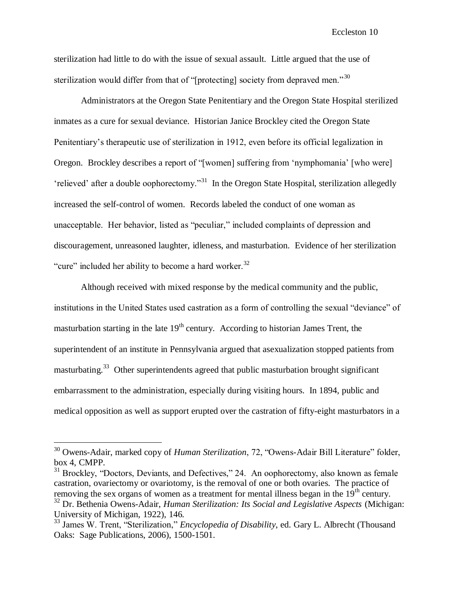sterilization had little to do with the issue of sexual assault. Little argued that the use of sterilization would differ from that of "[protecting] society from depraved men."<sup>30</sup>

Administrators at the Oregon State Penitentiary and the Oregon State Hospital sterilized inmates as a cure for sexual deviance. Historian Janice Brockley cited the Oregon State Penitentiary"s therapeutic use of sterilization in 1912, even before its official legalization in Oregon. Brockley describes a report of "[women] suffering from "nymphomania" [who were] 'relieved' after a double oophorectomy."<sup>31</sup> In the Oregon State Hospital, sterilization allegedly increased the self-control of women. Records labeled the conduct of one woman as unacceptable. Her behavior, listed as "peculiar," included complaints of depression and discouragement, unreasoned laughter, idleness, and masturbation. Evidence of her sterilization "cure" included her ability to become a hard worker. $32$ 

Although received with mixed response by the medical community and the public, institutions in the United States used castration as a form of controlling the sexual "deviance" of masturbation starting in the late  $19<sup>th</sup>$  century. According to historian James Trent, the superintendent of an institute in Pennsylvania argued that asexualization stopped patients from masturbating.<sup>33</sup> Other superintendents agreed that public masturbation brought significant embarrassment to the administration, especially during visiting hours. In 1894, public and medical opposition as well as support erupted over the castration of fifty-eight masturbators in a

<sup>30</sup> Owens-Adair, marked copy of *Human Sterilization*, 72, "Owens-Adair Bill Literature" folder, box 4, CMPP.

 $31$  Brockley, "Doctors, Deviants, and Defectives," 24. An oophorectomy, also known as female castration, ovariectomy or ovariotomy, is the removal of one or both ovaries. The practice of removing the sex organs of women as a treatment for mental illness began in the  $19<sup>th</sup>$  century. <sup>32</sup> Dr. Bethenia Owens-Adair, *Human Sterilization: Its Social and Legislative Aspects* (Michigan: University of Michigan, 1922), 146.

<sup>33</sup> James W. Trent, "Sterilization," *Encyclopedia of Disability*, ed. Gary L. Albrecht (Thousand Oaks: Sage Publications, 2006), 1500-1501.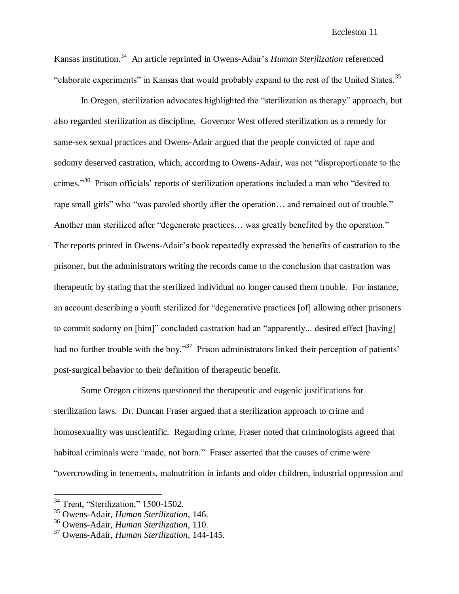Kansas institution.<sup>34</sup> An article reprinted in Owens-Adair"s *Human Sterilization* referenced "elaborate experiments" in Kansas that would probably expand to the rest of the United States.<sup>35</sup>

In Oregon, sterilization advocates highlighted the "sterilization as therapy" approach, but also regarded sterilization as discipline. Governor West offered sterilization as a remedy for same-sex sexual practices and Owens-Adair argued that the people convicted of rape and sodomy deserved castration, which, according to Owens-Adair, was not "disproportionate to the crimes."<sup>36</sup> Prison officials' reports of sterilization operations included a man who "desired to rape small girls" who "was paroled shortly after the operation... and remained out of trouble." Another man sterilized after "degenerate practices… was greatly benefited by the operation." The reports printed in Owens-Adair"s book repeatedly expressed the benefits of castration to the prisoner, but the administrators writing the records came to the conclusion that castration was therapeutic by stating that the sterilized individual no longer caused them trouble. For instance, an account describing a youth sterilized for "degenerative practices [of] allowing other prisoners to commit sodomy on [him]" concluded castration had an "apparently... desired effect [having] had no further trouble with the boy."<sup>37</sup> Prison administrators linked their perception of patients' post-surgical behavior to their definition of therapeutic benefit.

Some Oregon citizens questioned the therapeutic and eugenic justifications for sterilization laws. Dr. Duncan Fraser argued that a sterilization approach to crime and homosexuality was unscientific. Regarding crime, Fraser noted that criminologists agreed that habitual criminals were "made, not born." Fraser asserted that the causes of crime were "overcrowding in tenements, malnutrition in infants and older children, industrial oppression and

<sup>&</sup>lt;sup>34</sup> Trent, "Sterilization," 1500-1502.

<sup>35</sup> Owens-Adair, *Human Sterilization*, 146.

<sup>36</sup> Owens-Adair, *Human Sterilization*, 110.

<sup>37</sup> Owens-Adair, *Human Sterilization*, 144-145.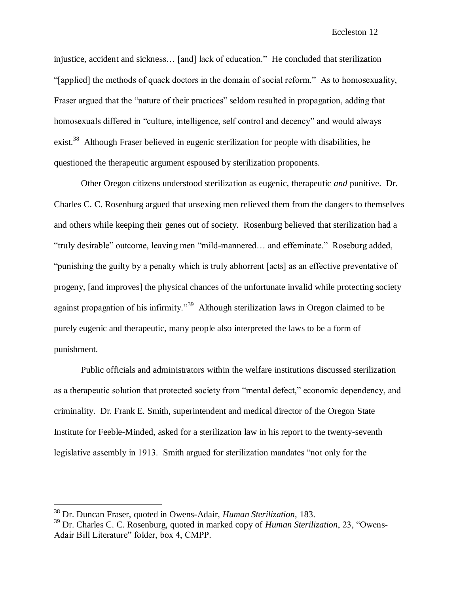injustice, accident and sickness… [and] lack of education." He concluded that sterilization "[applied] the methods of quack doctors in the domain of social reform." As to homosexuality, Fraser argued that the "nature of their practices" seldom resulted in propagation, adding that homosexuals differed in "culture, intelligence, self control and decency" and would always exist.<sup>38</sup> Although Fraser believed in eugenic sterilization for people with disabilities, he questioned the therapeutic argument espoused by sterilization proponents.

Other Oregon citizens understood sterilization as eugenic, therapeutic *and* punitive. Dr. Charles C. C. Rosenburg argued that unsexing men relieved them from the dangers to themselves and others while keeping their genes out of society. Rosenburg believed that sterilization had a "truly desirable" outcome, leaving men "mild-mannered… and effeminate." Roseburg added, "punishing the guilty by a penalty which is truly abhorrent [acts] as an effective preventative of progeny, [and improves] the physical chances of the unfortunate invalid while protecting society against propagation of his infirmity."<sup>39</sup> Although sterilization laws in Oregon claimed to be purely eugenic and therapeutic, many people also interpreted the laws to be a form of punishment.

Public officials and administrators within the welfare institutions discussed sterilization as a therapeutic solution that protected society from "mental defect," economic dependency, and criminality. Dr. Frank E. Smith, superintendent and medical director of the Oregon State Institute for Feeble-Minded, asked for a sterilization law in his report to the twenty-seventh legislative assembly in 1913. Smith argued for sterilization mandates "not only for the

<sup>38</sup> Dr. Duncan Fraser, quoted in Owens-Adair, *Human Sterilization*, 183.

<sup>39</sup> Dr. Charles C. C. Rosenburg, quoted in marked copy of *Human Sterilization*, 23, "Owens-Adair Bill Literature" folder, box 4, CMPP.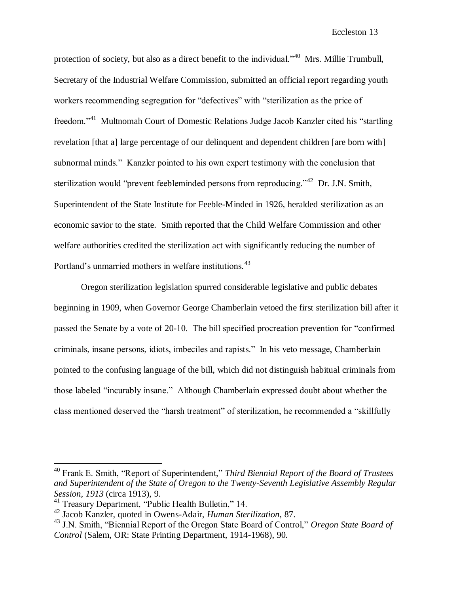protection of society, but also as a direct benefit to the individual."<sup>40</sup> Mrs. Millie Trumbull, Secretary of the Industrial Welfare Commission, submitted an official report regarding youth workers recommending segregation for "defectives" with "sterilization as the price of freedom."<sup>41</sup> Multnomah Court of Domestic Relations Judge Jacob Kanzler cited his "startling revelation [that a] large percentage of our delinquent and dependent children [are born with] subnormal minds." Kanzler pointed to his own expert testimony with the conclusion that sterilization would "prevent feebleminded persons from reproducing."<sup>42</sup> Dr. J.N. Smith, Superintendent of the State Institute for Feeble-Minded in 1926, heralded sterilization as an economic savior to the state. Smith reported that the Child Welfare Commission and other welfare authorities credited the sterilization act with significantly reducing the number of Portland's unmarried mothers in welfare institutions.<sup>43</sup>

Oregon sterilization legislation spurred considerable legislative and public debates beginning in 1909, when Governor George Chamberlain vetoed the first sterilization bill after it passed the Senate by a vote of 20-10. The bill specified procreation prevention for "confirmed criminals, insane persons, idiots, imbeciles and rapists." In his veto message, Chamberlain pointed to the confusing language of the bill, which did not distinguish habitual criminals from those labeled "incurably insane." Although Chamberlain expressed doubt about whether the class mentioned deserved the "harsh treatment" of sterilization, he recommended a "skillfully

<sup>40</sup> Frank E. Smith, "Report of Superintendent," *Third Biennial Report of the Board of Trustees and Superintendent of the State of Oregon to the Twenty-Seventh Legislative Assembly Regular Session, 1913* (circa 1913), 9.

<sup>41</sup> Treasury Department, "Public Health Bulletin," 14.

<sup>42</sup> Jacob Kanzler, quoted in Owens-Adair, *Human Sterilization*, 87.

<sup>43</sup> J.N. Smith, "Biennial Report of the Oregon State Board of Control," *Oregon State Board of Control* (Salem, OR: State Printing Department, 1914-1968), 90.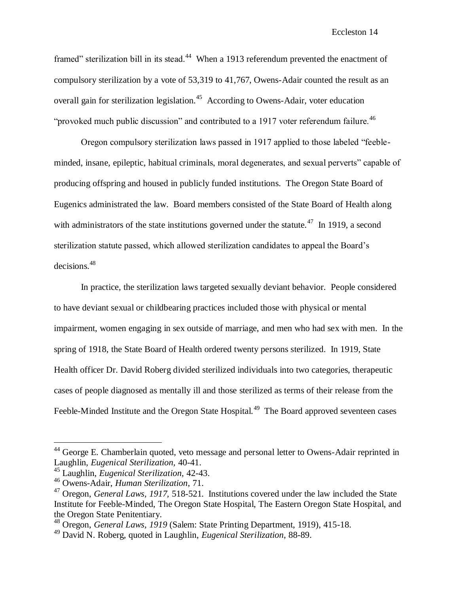framed" sterilization bill in its stead.<sup>44</sup> When a 1913 referendum prevented the enactment of compulsory sterilization by a vote of 53,319 to 41,767, Owens-Adair counted the result as an overall gain for sterilization legislation.<sup>45</sup> According to Owens-Adair, voter education "provoked much public discussion" and contributed to a 1917 voter referendum failure. $46$ 

Oregon compulsory sterilization laws passed in 1917 applied to those labeled "feebleminded, insane, epileptic, habitual criminals, moral degenerates, and sexual perverts" capable of producing offspring and housed in publicly funded institutions. The Oregon State Board of Eugenics administrated the law. Board members consisted of the State Board of Health along with administrators of the state institutions governed under the statute. $47$  In 1919, a second sterilization statute passed, which allowed sterilization candidates to appeal the Board"s decisions.<sup>48</sup>

In practice, the sterilization laws targeted sexually deviant behavior. People considered to have deviant sexual or childbearing practices included those with physical or mental impairment, women engaging in sex outside of marriage, and men who had sex with men. In the spring of 1918, the State Board of Health ordered twenty persons sterilized. In 1919, State Health officer Dr. David Roberg divided sterilized individuals into two categories, therapeutic cases of people diagnosed as mentally ill and those sterilized as terms of their release from the Feeble-Minded Institute and the Oregon State Hospital.<sup>49</sup> The Board approved seventeen cases

 $44$  George E. Chamberlain quoted, veto message and personal letter to Owens-Adair reprinted in Laughlin, *Eugenical Sterilization,* 40-41.

<sup>45</sup> Laughlin, *Eugenical Sterilization,* 42-43.

<sup>46</sup> Owens-Adair, *Human Sterilization*, 71.

<sup>&</sup>lt;sup>47</sup> Oregon, *General Laws, 1917, 518-521*. Institutions covered under the law included the State Institute for Feeble-Minded, The Oregon State Hospital, The Eastern Oregon State Hospital, and the Oregon State Penitentiary.

<sup>48</sup> Oregon, *General Laws, 1919* (Salem: State Printing Department, 1919), 415-18.

<sup>49</sup> David N. Roberg, quoted in Laughlin, *Eugenical Sterilization*, 88-89.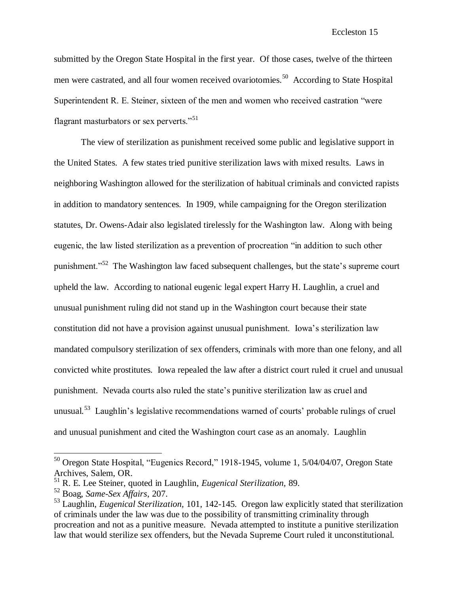submitted by the Oregon State Hospital in the first year. Of those cases, twelve of the thirteen men were castrated, and all four women received ovariotomies.<sup>50</sup> According to State Hospital Superintendent R. E. Steiner, sixteen of the men and women who received castration "were flagrant masturbators or sex perverts."<sup>51</sup>

The view of sterilization as punishment received some public and legislative support in the United States. A few states tried punitive sterilization laws with mixed results. Laws in neighboring Washington allowed for the sterilization of habitual criminals and convicted rapists in addition to mandatory sentences. In 1909, while campaigning for the Oregon sterilization statutes, Dr. Owens-Adair also legislated tirelessly for the Washington law. Along with being eugenic, the law listed sterilization as a prevention of procreation "in addition to such other punishment."<sup>52</sup> The Washington law faced subsequent challenges, but the state's supreme court upheld the law. According to national eugenic legal expert Harry H. Laughlin, a cruel and unusual punishment ruling did not stand up in the Washington court because their state constitution did not have a provision against unusual punishment. Iowa"s sterilization law mandated compulsory sterilization of sex offenders, criminals with more than one felony, and all convicted white prostitutes. Iowa repealed the law after a district court ruled it cruel and unusual punishment. Nevada courts also ruled the state"s punitive sterilization law as cruel and unusual.<sup>53</sup> Laughlin's legislative recommendations warned of courts' probable rulings of cruel and unusual punishment and cited the Washington court case as an anomaly. Laughlin

<sup>&</sup>lt;sup>50</sup> Oregon State Hospital, "Eugenics Record," 1918-1945, volume 1, 5/04/04/07, Oregon State Archives, Salem, OR.

<sup>51</sup> R. E. Lee Steiner, quoted in Laughlin, *Eugenical Sterilization,* 89.

<sup>52</sup> Boag, *Same-Sex Affairs*, 207.

<sup>53</sup> Laughlin, *Eugenical Sterilization,* 101, 142-145. Oregon law explicitly stated that sterilization of criminals under the law was due to the possibility of transmitting criminality through procreation and not as a punitive measure. Nevada attempted to institute a punitive sterilization law that would sterilize sex offenders, but the Nevada Supreme Court ruled it unconstitutional.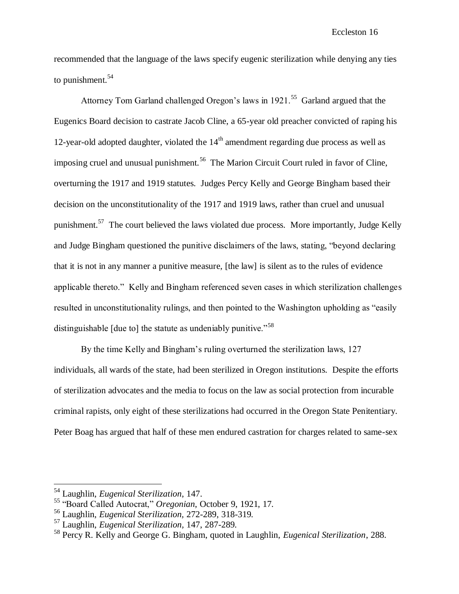recommended that the language of the laws specify eugenic sterilization while denying any ties to punishment. $54$ 

Attorney Tom Garland challenged Oregon's laws in 1921.<sup>55</sup> Garland argued that the Eugenics Board decision to castrate Jacob Cline, a 65-year old preacher convicted of raping his 12-year-old adopted daughter, violated the  $14<sup>th</sup>$  amendment regarding due process as well as imposing cruel and unusual punishment.<sup>56</sup> The Marion Circuit Court ruled in favor of Cline, overturning the 1917 and 1919 statutes. Judges Percy Kelly and George Bingham based their decision on the unconstitutionality of the 1917 and 1919 laws, rather than cruel and unusual punishment.<sup>57</sup> The court believed the laws violated due process. More importantly, Judge Kelly and Judge Bingham questioned the punitive disclaimers of the laws, stating, "beyond declaring that it is not in any manner a punitive measure, [the law] is silent as to the rules of evidence applicable thereto." Kelly and Bingham referenced seven cases in which sterilization challenges resulted in unconstitutionality rulings, and then pointed to the Washington upholding as "easily distinguishable [due to] the statute as undeniably punitive."<sup>58</sup>

By the time Kelly and Bingham"s ruling overturned the sterilization laws, 127 individuals, all wards of the state, had been sterilized in Oregon institutions. Despite the efforts of sterilization advocates and the media to focus on the law as social protection from incurable criminal rapists, only eight of these sterilizations had occurred in the Oregon State Penitentiary. Peter Boag has argued that half of these men endured castration for charges related to same-sex

<sup>54</sup> Laughlin, *Eugenical Sterilization*, 147.

<sup>55</sup> "Board Called Autocrat," *Oregonian*, October 9, 1921, 17.

<sup>56</sup> Laughlin, *Eugenical Sterilization,* 272-289, 318-319.

<sup>57</sup> Laughlin, *Eugenical Sterilization,* 147, 287-289.

<sup>58</sup> Percy R. Kelly and George G. Bingham, quoted in Laughlin, *Eugenical Sterilization*, 288.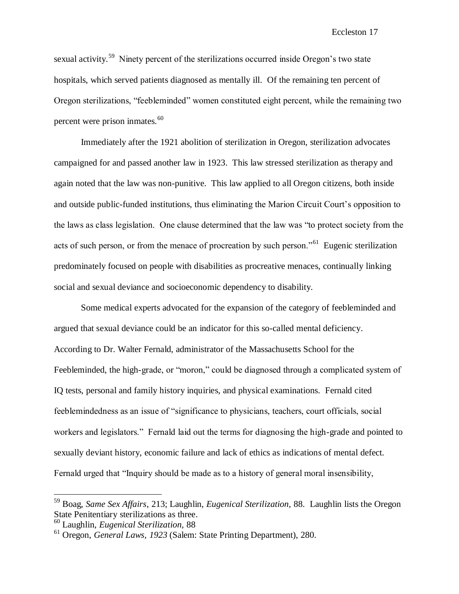sexual activity.<sup>59</sup> Ninety percent of the sterilizations occurred inside Oregon's two state hospitals, which served patients diagnosed as mentally ill. Of the remaining ten percent of Oregon sterilizations, "feebleminded" women constituted eight percent, while the remaining two percent were prison inmates. $60$ 

Immediately after the 1921 abolition of sterilization in Oregon, sterilization advocates campaigned for and passed another law in 1923. This law stressed sterilization as therapy and again noted that the law was non-punitive. This law applied to all Oregon citizens, both inside and outside public-funded institutions, thus eliminating the Marion Circuit Court's opposition to the laws as class legislation. One clause determined that the law was "to protect society from the acts of such person, or from the menace of procreation by such person."<sup>61</sup> Eugenic sterilization predominately focused on people with disabilities as procreative menaces, continually linking social and sexual deviance and socioeconomic dependency to disability.

Some medical experts advocated for the expansion of the category of feebleminded and argued that sexual deviance could be an indicator for this so-called mental deficiency. According to Dr. Walter Fernald, administrator of the Massachusetts School for the Feebleminded, the high-grade, or "moron," could be diagnosed through a complicated system of IQ tests, personal and family history inquiries, and physical examinations. Fernald cited feeblemindedness as an issue of "significance to physicians, teachers, court officials, social workers and legislators." Fernald laid out the terms for diagnosing the high-grade and pointed to sexually deviant history, economic failure and lack of ethics as indications of mental defect. Fernald urged that "Inquiry should be made as to a history of general moral insensibility,

<sup>59</sup> Boag, *Same Sex Affairs*, 213; Laughlin, *Eugenical Sterilization,* 88. Laughlin lists the Oregon State Penitentiary sterilizations as three.

<sup>60</sup> Laughlin, *Eugenical Sterilization,* 88

<sup>61</sup> Oregon, *General Laws, 1923* (Salem: State Printing Department), 280.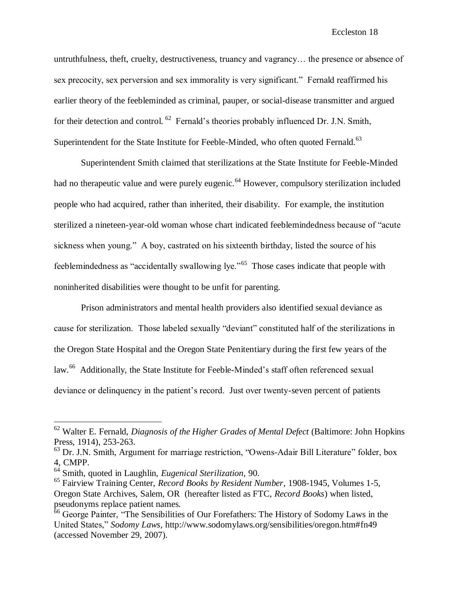untruthfulness, theft, cruelty, destructiveness, truancy and vagrancy… the presence or absence of sex precocity, sex perversion and sex immorality is very significant." Fernald reaffirmed his earlier theory of the feebleminded as criminal, pauper, or social-disease transmitter and argued for their detection and control. <sup>62</sup> Fernald's theories probably influenced Dr. J.N. Smith, Superintendent for the State Institute for Feeble-Minded, who often quoted Fernald.<sup>63</sup>

Superintendent Smith claimed that sterilizations at the State Institute for Feeble-Minded had no therapeutic value and were purely eugenic.<sup>64</sup> However, compulsory sterilization included people who had acquired, rather than inherited, their disability. For example, the institution sterilized a nineteen-year-old woman whose chart indicated feeblemindedness because of "acute sickness when young." A boy, castrated on his sixteenth birthday, listed the source of his feeblemindedness as "accidentally swallowing lye."<sup>65</sup> Those cases indicate that people with noninherited disabilities were thought to be unfit for parenting.

Prison administrators and mental health providers also identified sexual deviance as cause for sterilization. Those labeled sexually "deviant" constituted half of the sterilizations in the Oregon State Hospital and the Oregon State Penitentiary during the first few years of the law.<sup>66</sup> Additionally, the State Institute for Feeble-Minded's staff often referenced sexual deviance or delinquency in the patient's record. Just over twenty-seven percent of patients

<sup>62</sup> Walter E. Fernald, *Diagnosis of the Higher Grades of Mental Defect* (Baltimore: John Hopkins Press, 1914), 253-263.

 $63$  Dr. J.N. Smith, Argument for marriage restriction, "Owens-Adair Bill Literature" folder, box 4, CMPP.

<sup>64</sup> Smith, quoted in Laughlin, *Eugenical Sterilization,* 90.

<sup>65</sup> Fairview Training Center, *Record Books by Resident Number*, 1908-1945, Volumes 1-5, Oregon State Archives, Salem, OR (hereafter listed as FTC, *Record Books*) when listed, pseudonyms replace patient names.

<sup>&</sup>lt;sup>66</sup> George Painter, "The Sensibilities of Our Forefathers: The History of Sodomy Laws in the United States," *Sodomy Laws,* http://www.sodomylaws.org/sensibilities/oregon.htm#fn49 (accessed November 29, 2007).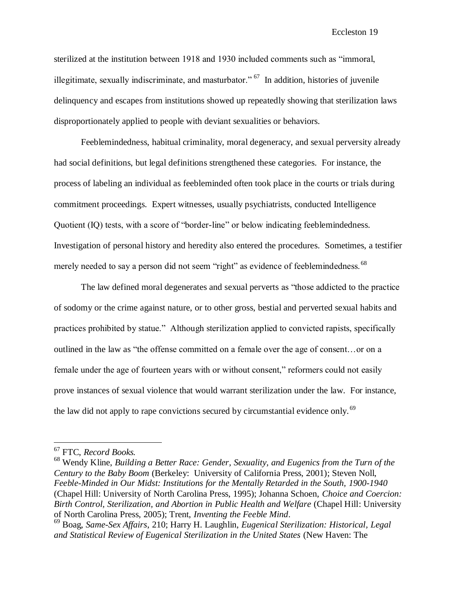sterilized at the institution between 1918 and 1930 included comments such as "immoral, illegitimate, sexually indiscriminate, and masturbator."  $67$  In addition, histories of juvenile delinquency and escapes from institutions showed up repeatedly showing that sterilization laws disproportionately applied to people with deviant sexualities or behaviors.

Feeblemindedness, habitual criminality, moral degeneracy, and sexual perversity already had social definitions, but legal definitions strengthened these categories. For instance, the process of labeling an individual as feebleminded often took place in the courts or trials during commitment proceedings. Expert witnesses, usually psychiatrists, conducted Intelligence Quotient (IQ) tests, with a score of "border-line" or below indicating feeblemindedness. Investigation of personal history and heredity also entered the procedures. Sometimes, a testifier merely needed to say a person did not seem "right" as evidence of feeblemindedness. <sup>68</sup>

The law defined moral degenerates and sexual perverts as "those addicted to the practice of sodomy or the crime against nature, or to other gross, bestial and perverted sexual habits and practices prohibited by statue." Although sterilization applied to convicted rapists, specifically outlined in the law as "the offense committed on a female over the age of consent…or on a female under the age of fourteen years with or without consent," reformers could not easily prove instances of sexual violence that would warrant sterilization under the law. For instance, the law did not apply to rape convictions secured by circumstantial evidence only. <sup>69</sup>

<sup>67</sup> FTC, *Record Books.*

<sup>68</sup> Wendy Kline, *Building a Better Race: Gender, Sexuality, and Eugenics from the Turn of the Century to the Baby Boom* (Berkeley: University of California Press, 2001); Steven Noll, *Feeble-Minded in Our Midst: Institutions for the Mentally Retarded in the South, 1900-1940* (Chapel Hill: University of North Carolina Press, 1995); Johanna Schoen, *Choice and Coercion: Birth Control, Sterilization, and Abortion in Public Health and Welfare* (Chapel Hill: University of North Carolina Press, 2005); Trent, *Inventing the Feeble Mind*.

<sup>69</sup> Boag, *Same-Sex Affairs*, 210; Harry H. Laughlin, *Eugenical Sterilization: Historical, Legal and Statistical Review of Eugenical Sterilization in the United States* (New Haven: The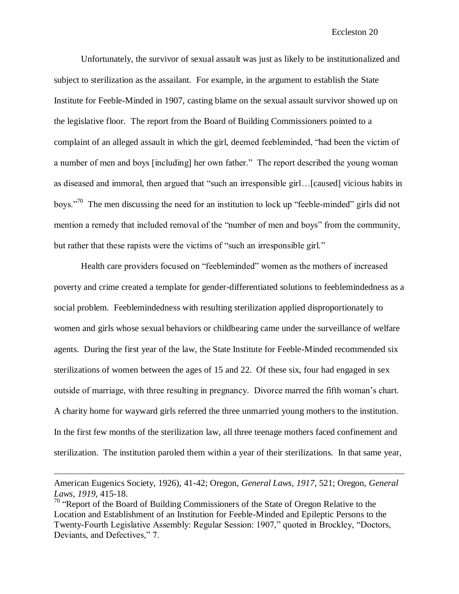Unfortunately, the survivor of sexual assault was just as likely to be institutionalized and subject to sterilization as the assailant. For example, in the argument to establish the State Institute for Feeble-Minded in 1907, casting blame on the sexual assault survivor showed up on the legislative floor. The report from the Board of Building Commissioners pointed to a complaint of an alleged assault in which the girl, deemed feebleminded, "had been the victim of a number of men and boys [including] her own father." The report described the young woman as diseased and immoral, then argued that "such an irresponsible girl…[caused] vicious habits in boys."<sup>70</sup> The men discussing the need for an institution to lock up "feeble-minded" girls did not mention a remedy that included removal of the "number of men and boys" from the community, but rather that these rapists were the victims of "such an irresponsible girl."

Health care providers focused on "feebleminded" women as the mothers of increased poverty and crime created a template for gender-differentiated solutions to feeblemindedness as a social problem. Feeblemindedness with resulting sterilization applied disproportionately to women and girls whose sexual behaviors or childbearing came under the surveillance of welfare agents. During the first year of the law, the State Institute for Feeble-Minded recommended six sterilizations of women between the ages of 15 and 22. Of these six, four had engaged in sex outside of marriage, with three resulting in pregnancy. Divorce marred the fifth woman"s chart. A charity home for wayward girls referred the three unmarried young mothers to the institution. In the first few months of the sterilization law, all three teenage mothers faced confinement and sterilization. The institution paroled them within a year of their sterilizations. In that same year,

American Eugenics Society, 1926), 41-42; Oregon, *General Laws, 1917*, 521; Oregon, *General Laws, 1919,* 415-18.

<sup>&</sup>lt;sup>70</sup> "Report of the Board of Building Commissioners of the State of Oregon Relative to the Location and Establishment of an Institution for Feeble-Minded and Epileptic Persons to the Twenty-Fourth Legislative Assembly: Regular Session: 1907," quoted in Brockley, "Doctors, Deviants, and Defectives," 7.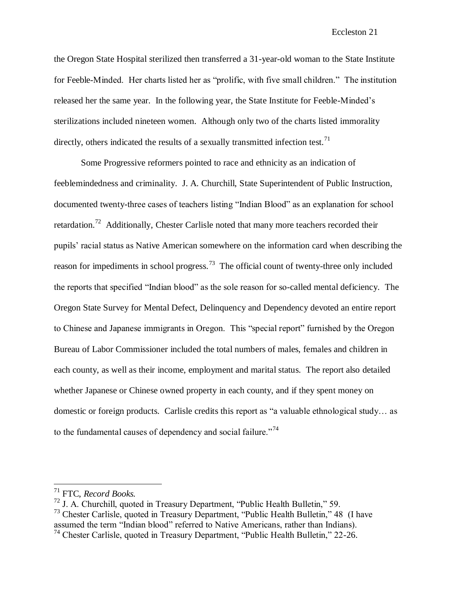the Oregon State Hospital sterilized then transferred a 31-year-old woman to the State Institute for Feeble-Minded. Her charts listed her as "prolific, with five small children." The institution released her the same year. In the following year, the State Institute for Feeble-Minded"s sterilizations included nineteen women. Although only two of the charts listed immorality directly, others indicated the results of a sexually transmitted infection test.<sup>71</sup>

Some Progressive reformers pointed to race and ethnicity as an indication of feeblemindedness and criminality. J. A. Churchill, State Superintendent of Public Instruction, documented twenty-three cases of teachers listing "Indian Blood" as an explanation for school retardation.<sup>72</sup> Additionally, Chester Carlisle noted that many more teachers recorded their pupils" racial status as Native American somewhere on the information card when describing the reason for impediments in school progress.<sup>73</sup> The official count of twenty-three only included the reports that specified "Indian blood" as the sole reason for so-called mental deficiency. The Oregon State Survey for Mental Defect, Delinquency and Dependency devoted an entire report to Chinese and Japanese immigrants in Oregon. This "special report" furnished by the Oregon Bureau of Labor Commissioner included the total numbers of males, females and children in each county, as well as their income, employment and marital status. The report also detailed whether Japanese or Chinese owned property in each county, and if they spent money on domestic or foreign products. Carlisle credits this report as "a valuable ethnological study… as to the fundamental causes of dependency and social failure."<sup>74</sup>

<sup>71</sup> FTC, *Record Books.*

 $72$  J. A. Churchill, quoted in Treasury Department, "Public Health Bulletin," 59.

<sup>73</sup> Chester Carlisle, quoted in Treasury Department, "Public Health Bulletin," 48 (I have assumed the term "Indian blood" referred to Native Americans, rather than Indians).

<sup>74</sup> Chester Carlisle, quoted in Treasury Department, "Public Health Bulletin," 22-26.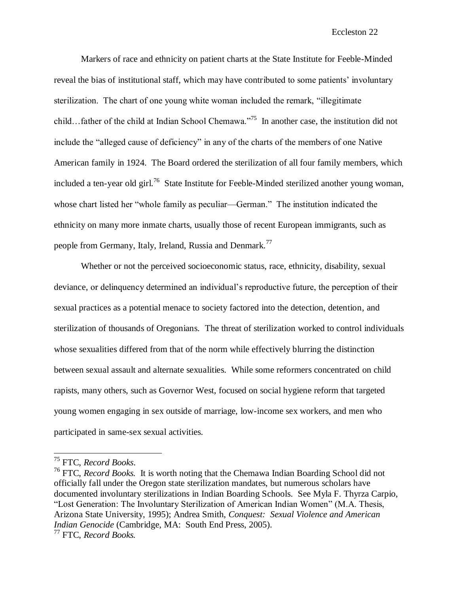Markers of race and ethnicity on patient charts at the State Institute for Feeble-Minded reveal the bias of institutional staff, which may have contributed to some patients" involuntary sterilization. The chart of one young white woman included the remark, "illegitimate child…father of the child at Indian School Chemawa."<sup>75</sup> In another case, the institution did not include the "alleged cause of deficiency" in any of the charts of the members of one Native American family in 1924. The Board ordered the sterilization of all four family members, which included a ten-year old girl.<sup>76</sup> State Institute for Feeble-Minded sterilized another young woman, whose chart listed her "whole family as peculiar—German." The institution indicated the ethnicity on many more inmate charts, usually those of recent European immigrants, such as people from Germany, Italy, Ireland, Russia and Denmark.<sup>77</sup>

Whether or not the perceived socioeconomic status, race, ethnicity, disability, sexual deviance, or delinquency determined an individual"s reproductive future, the perception of their sexual practices as a potential menace to society factored into the detection, detention, and sterilization of thousands of Oregonians. The threat of sterilization worked to control individuals whose sexualities differed from that of the norm while effectively blurring the distinction between sexual assault and alternate sexualities. While some reformers concentrated on child rapists, many others, such as Governor West, focused on social hygiene reform that targeted young women engaging in sex outside of marriage, low-income sex workers, and men who participated in same-sex sexual activities.

<sup>75</sup> FTC, *Record Books*.

<sup>76</sup> FTC, *Record Books.* It is worth noting that the Chemawa Indian Boarding School did not officially fall under the Oregon state sterilization mandates, but numerous scholars have documented involuntary sterilizations in Indian Boarding Schools. See Myla F. Thyrza Carpio, "Lost Generation: The Involuntary Sterilization of American Indian Women" (M.A. Thesis, Arizona State University, 1995); Andrea Smith, *Conquest: Sexual Violence and American Indian Genocide* (Cambridge, MA: South End Press, 2005).

<sup>77</sup> FTC, *Record Books.*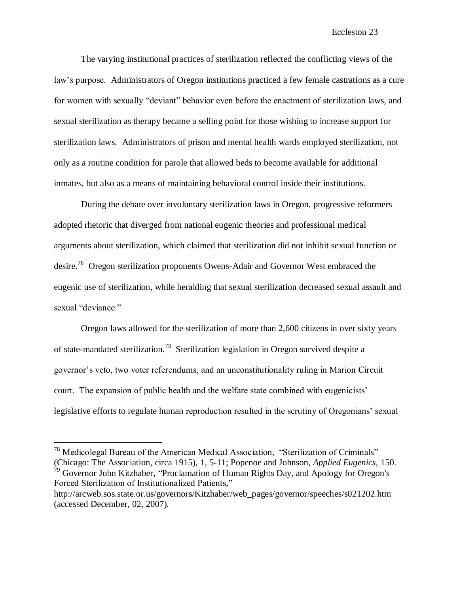The varying institutional practices of sterilization reflected the conflicting views of the law"s purpose. Administrators of Oregon institutions practiced a few female castrations as a cure for women with sexually "deviant" behavior even before the enactment of sterilization laws, and sexual sterilization as therapy became a selling point for those wishing to increase support for sterilization laws. Administrators of prison and mental health wards employed sterilization, not only as a routine condition for parole that allowed beds to become available for additional inmates, but also as a means of maintaining behavioral control inside their institutions.

During the debate over involuntary sterilization laws in Oregon, progressive reformers adopted rhetoric that diverged from national eugenic theories and professional medical arguments about sterilization, which claimed that sterilization did not inhibit sexual function or desire.<sup>78</sup> Oregon sterilization proponents Owens-Adair and Governor West embraced the eugenic use of sterilization, while heralding that sexual sterilization decreased sexual assault and sexual "deviance."

Oregon laws allowed for the sterilization of more than 2,600 citizens in over sixty years of state-mandated sterilization.<sup>79</sup> Sterilization legislation in Oregon survived despite a governor"s veto, two voter referendums, and an unconstitutionality ruling in Marion Circuit court. The expansion of public health and the welfare state combined with eugenicists' legislative efforts to regulate human reproduction resulted in the scrutiny of Oregonians" sexual

 $78$  Medicolegal Bureau of the American Medical Association, "Sterilization of Criminals" (Chicago: The Association, circa 1915), 1, 5-11; Popenoe and Johnson, *Applied Eugenics,* 150.  $79$  Governor John Kitzhaber, "Proclamation of Human Rights Day, and Apology for Oregon's Forced Sterilization of Institutionalized Patients," http://arcweb.sos.state.or.us/governors/Kitzhaber/web\_pages/governor/speeches/s021202.htm (accessed December, 02, 2007).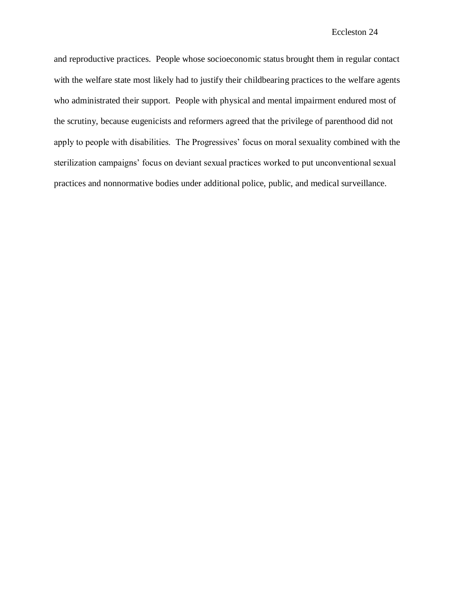and reproductive practices. People whose socioeconomic status brought them in regular contact with the welfare state most likely had to justify their childbearing practices to the welfare agents who administrated their support. People with physical and mental impairment endured most of the scrutiny, because eugenicists and reformers agreed that the privilege of parenthood did not apply to people with disabilities. The Progressives' focus on moral sexuality combined with the sterilization campaigns" focus on deviant sexual practices worked to put unconventional sexual practices and nonnormative bodies under additional police, public, and medical surveillance.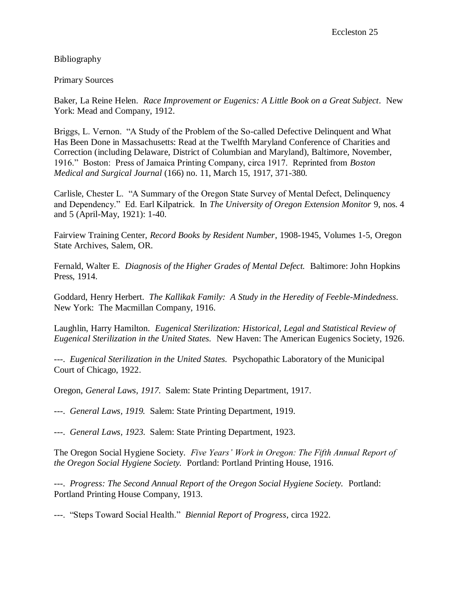Bibliography

Primary Sources

Baker, La Reine Helen. *Race Improvement or Eugenics: A Little Book on a Great Subject*. New York: Mead and Company, 1912.

Briggs, L. Vernon. "A Study of the Problem of the So-called Defective Delinquent and What Has Been Done in Massachusetts: Read at the Twelfth Maryland Conference of Charities and Correction (including Delaware, District of Columbian and Maryland), Baltimore, November, 1916." Boston: Press of Jamaica Printing Company, circa 1917. Reprinted from *Boston Medical and Surgical Journal* (166) no. 11, March 15, 1917, 371-380.

Carlisle, Chester L. "A Summary of the Oregon State Survey of Mental Defect, Delinquency and Dependency." Ed. Earl Kilpatrick. In *The University of Oregon Extension Monitor* 9, nos. 4 and 5 (April-May, 1921): 1-40.

Fairview Training Center, *Record Books by Resident Number*, 1908-1945, Volumes 1-5, Oregon State Archives, Salem, OR.

Fernald, Walter E. *Diagnosis of the Higher Grades of Mental Defect.* Baltimore: John Hopkins Press, 1914.

Goddard, Henry Herbert. *The Kallikak Family: A Study in the Heredity of Feeble-Mindedness.* New York: The Macmillan Company, 1916.

Laughlin, Harry Hamilton. *Eugenical Sterilization: Historical, Legal and Statistical Review of Eugenical Sterilization in the United States.* New Haven: The American Eugenics Society, 1926.

---. *Eugenical Sterilization in the United States.* Psychopathic Laboratory of the Municipal Court of Chicago, 1922.

Oregon, *General Laws, 1917.* Salem: State Printing Department, 1917.

---. *General Laws, 1919.* Salem: State Printing Department, 1919.

---. *General Laws, 1923*. Salem: State Printing Department, 1923.

The Oregon Social Hygiene Society. *Five Years' Work in Oregon: The Fifth Annual Report of the Oregon Social Hygiene Society.* Portland: Portland Printing House, 1916.

---. *Progress: The Second Annual Report of the Oregon Social Hygiene Society.* Portland: Portland Printing House Company, 1913.

---. "Steps Toward Social Health." *Biennial Report of Progress*, circa 1922.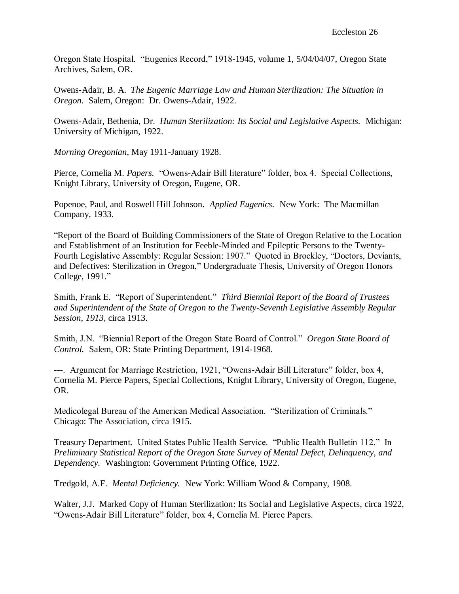Oregon State Hospital. "Eugenics Record," 1918-1945, volume 1, 5/04/04/07, Oregon State Archives, Salem, OR.

Owens-Adair, B. A. *The Eugenic Marriage Law and Human Sterilization: The Situation in Oregon.* Salem, Oregon: Dr. Owens-Adair, 1922.

Owens-Adair, Bethenia, Dr. *Human Sterilization: Its Social and Legislative Aspects.* Michigan: University of Michigan, 1922.

*Morning Oregonian*, May 1911-January 1928.

Pierce, Cornelia M. *Papers*. "Owens-Adair Bill literature" folder, box 4. Special Collections, Knight Library, University of Oregon, Eugene, OR.

Popenoe, Paul, and Roswell Hill Johnson. *Applied Eugenics.* New York: The Macmillan Company, 1933.

"Report of the Board of Building Commissioners of the State of Oregon Relative to the Location and Establishment of an Institution for Feeble-Minded and Epileptic Persons to the Twenty-Fourth Legislative Assembly: Regular Session: 1907." Quoted in Brockley, "Doctors, Deviants, and Defectives: Sterilization in Oregon," Undergraduate Thesis, University of Oregon Honors College, 1991."

Smith, Frank E. "Report of Superintendent." *Third Biennial Report of the Board of Trustees and Superintendent of the State of Oregon to the Twenty-Seventh Legislative Assembly Regular Session, 1913,* circa 1913.

Smith, J.N. "Biennial Report of the Oregon State Board of Control." *Oregon State Board of Control.* Salem, OR: State Printing Department, 1914-1968.

---. Argument for Marriage Restriction, 1921, "Owens-Adair Bill Literature" folder, box 4, Cornelia M. Pierce Papers, Special Collections, Knight Library, University of Oregon, Eugene, OR.

Medicolegal Bureau of the American Medical Association. "Sterilization of Criminals." Chicago: The Association, circa 1915.

Treasury Department. United States Public Health Service. "Public Health Bulletin 112." In *Preliminary Statistical Report of the Oregon State Survey of Mental Defect, Delinquency, and Dependency.* Washington: Government Printing Office, 1922.

Tredgold, A.F. *Mental Deficiency.* New York: William Wood & Company, 1908.

Walter, J.J. Marked Copy of Human Sterilization: Its Social and Legislative Aspects, circa 1922, "Owens-Adair Bill Literature" folder, box 4, Cornelia M. Pierce Papers.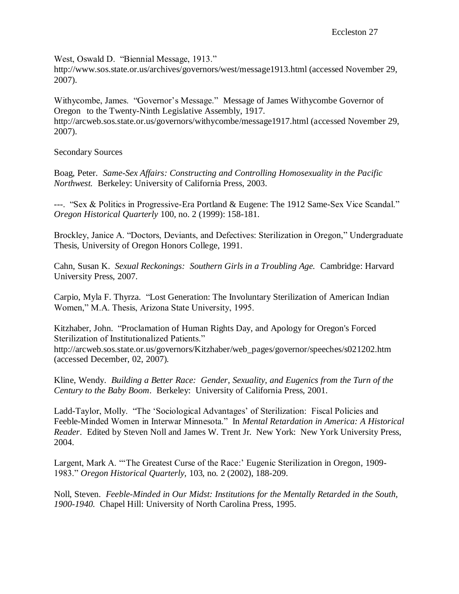West, Oswald D. "Biennial Message, 1913."

http://www.sos.state.or.us/archives/governors/west/message1913.html (accessed November 29, 2007).

Withycombe, James. "Governor"s Message." Message of James Withycombe Governor of Oregon to the Twenty-Ninth Legislative Assembly, 1917. http://arcweb.sos.state.or.us/governors/withycombe/message1917.html (accessed November 29, 2007).

Secondary Sources

Boag, Peter. *Same-Sex Affairs: Constructing and Controlling Homosexuality in the Pacific Northwest.* Berkeley: University of California Press, 2003.

---. "Sex & Politics in Progressive-Era Portland & Eugene: The 1912 Same-Sex Vice Scandal." *Oregon Historical Quarterly* 100, no. 2 (1999): 158-181.

Brockley, Janice A. "Doctors, Deviants, and Defectives: Sterilization in Oregon," Undergraduate Thesis, University of Oregon Honors College, 1991.

Cahn, Susan K. *Sexual Reckonings: Southern Girls in a Troubling Age.* Cambridge: Harvard University Press, 2007.

Carpio, Myla F. Thyrza. "Lost Generation: The Involuntary Sterilization of American Indian Women," M.A. Thesis, Arizona State University, 1995.

Kitzhaber, John. "Proclamation of Human Rights Day, and Apology for Oregon's Forced Sterilization of Institutionalized Patients."

http://arcweb.sos.state.or.us/governors/Kitzhaber/web\_pages/governor/speeches/s021202.htm (accessed December, 02, 2007).

Kline, Wendy. *Building a Better Race: Gender, Sexuality, and Eugenics from the Turn of the Century to the Baby Boom*. Berkeley: University of California Press, 2001.

Ladd-Taylor, Molly. "The "Sociological Advantages" of Sterilization: Fiscal Policies and Feeble-Minded Women in Interwar Minnesota." In *Mental Retardation in America: A Historical Reader*. Edited by Steven Noll and James W. Trent Jr. New York: New York University Press, 2004.

Largent, Mark A. "The Greatest Curse of the Race:' Eugenic Sterilization in Oregon, 1909-1983." *Oregon Historical Quarterly,* 103, no. 2 (2002), 188-209.

Noll, Steven. *Feeble-Minded in Our Midst: Institutions for the Mentally Retarded in the South, 1900-1940.* Chapel Hill: University of North Carolina Press, 1995.